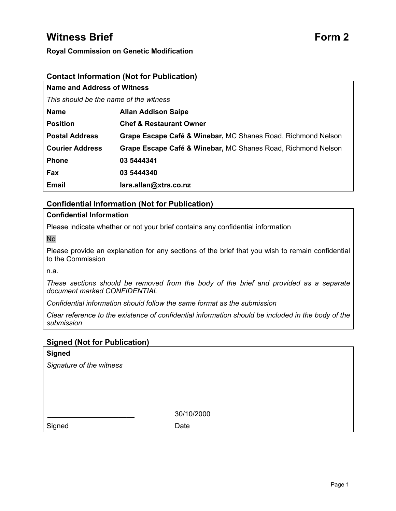# **Witness Brief Form 2 Form 2**

# **Contact Information (Not for Publication)**

| Name and Address of Witness            |                                                              |  |
|----------------------------------------|--------------------------------------------------------------|--|
| This should be the name of the witness |                                                              |  |
| <b>Name</b>                            | <b>Allan Addison Saipe</b>                                   |  |
| <b>Position</b>                        | <b>Chef &amp; Restaurant Owner</b>                           |  |
| <b>Postal Address</b>                  | Grape Escape Café & Winebar, MC Shanes Road, Richmond Nelson |  |
| <b>Courier Address</b>                 | Grape Escape Café & Winebar, MC Shanes Road, Richmond Nelson |  |
| <b>Phone</b>                           | 03 5444341                                                   |  |
| <b>Fax</b>                             | 03 5444340                                                   |  |
| <b>Email</b>                           | lara.allan@xtra.co.nz                                        |  |

# **Confidential Information (Not for Publication)**

## **Confidential Information**

Please indicate whether or not your brief contains any confidential information

No

Please provide an explanation for any sections of the brief that you wish to remain confidential to the Commission

n.a.

*These sections should be removed from the body of the brief and provided as a separate document marked CONFIDENTIAL* 

*Confidential information should follow the same format as the submission* 

*Clear reference to the existence of confidential information should be included in the body of the submission* 

# **Signed (Not for Publication)**

| <b>Signed</b>            |            |
|--------------------------|------------|
| Signature of the witness |            |
|                          |            |
|                          |            |
|                          |            |
|                          | 30/10/2000 |
|                          |            |
| Signed                   | Date       |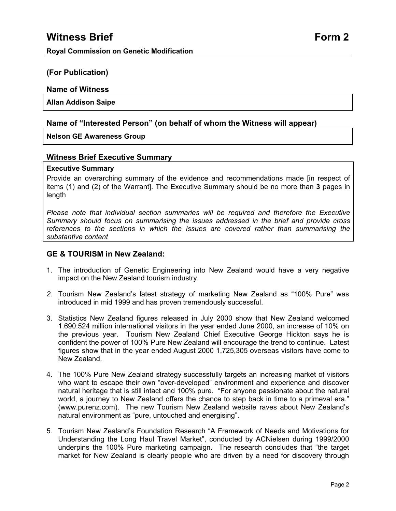# **(For Publication)**

# **Name of Witness**

# **Allan Addison Saipe**

# **Name of "Interested Person" (on behalf of whom the Witness will appear)**

# **Nelson GE Awareness Group**

# **Witness Brief Executive Summary**

# **Executive Summary**

Provide an overarching summary of the evidence and recommendations made [in respect of items (1) and (2) of the Warrant]. The Executive Summary should be no more than **3** pages in length

*Please note that individual section summaries will be required and therefore the Executive Summary should focus on summarising the issues addressed in the brief and provide cross references to the sections in which the issues are covered rather than summarising the substantive content* 

# **GE & TOURISM in New Zealand:**

- 1. The introduction of Genetic Engineering into New Zealand would have a very negative impact on the New Zealand tourism industry.
- *2.* Tourism New Zealand's latest strategy of marketing New Zealand as "100% Pure" was introduced in mid 1999 and has proven tremendously successful.
- 3. Statistics New Zealand figures released in July 2000 show that New Zealand welcomed 1.690.524 million international visitors in the year ended June 2000, an increase of 10% on the previous year. Tourism New Zealand Chief Executive George Hickton says he is confident the power of 100% Pure New Zealand will encourage the trend to continue. Latest figures show that in the year ended August 2000 1,725,305 overseas visitors have come to New Zealand.
- 4. The 100% Pure New Zealand strategy successfully targets an increasing market of visitors who want to escape their own "over-developed" environment and experience and discover natural heritage that is still intact and 100% pure. "For anyone passionate about the natural world, a journey to New Zealand offers the chance to step back in time to a primeval era." (www.purenz.com). The new Tourism New Zealand website raves about New Zealand's natural environment as "pure, untouched and energising".
- 5. Tourism New Zealand's Foundation Research "A Framework of Needs and Motivations for Understanding the Long Haul Travel Market", conducted by ACNielsen during 1999/2000 underpins the 100% Pure marketing campaign. The research concludes that "the target market for New Zealand is clearly people who are driven by a need for discovery through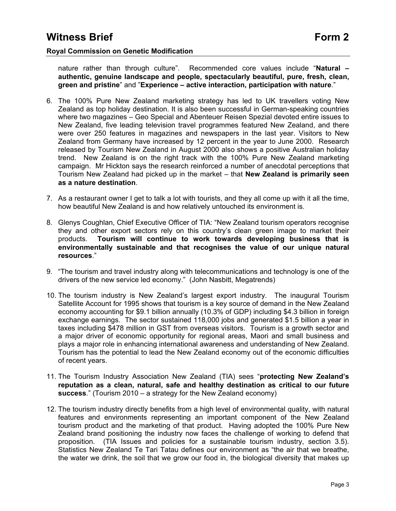nature rather than through culture". Recommended core values include "**Natural – authentic, genuine landscape and people, spectacularly beautiful, pure, fresh, clean, green and pristine**" and "**Experience – active interaction, participation with nature**."

- 6. The 100% Pure New Zealand marketing strategy has led to UK travellers voting New Zealand as top holiday destination. It is also been successful in German-speaking countries where two magazines – Geo Special and Abenteuer Reisen Spezial devoted entire issues to New Zealand, five leading television travel programmes featured New Zealand, and there were over 250 features in magazines and newspapers in the last year. Visitors to New Zealand from Germany have increased by 12 percent in the year to June 2000. Research released by Tourism New Zealand in August 2000 also shows a positive Australian holiday trend. New Zealand is on the right track with the 100% Pure New Zealand marketing campaign. Mr Hickton says the research reinforced a number of anecdotal perceptions that Tourism New Zealand had picked up in the market – that **New Zealand is primarily seen as a nature destination**.
- 7. As a restaurant owner I get to talk a lot with tourists, and they all come up with it all the time, how beautiful New Zealand is and how relatively untouched its environment is.
- 8. Glenys Coughlan, Chief Executive Officer of TIA: "New Zealand tourism operators recognise they and other export sectors rely on this country's clean green image to market their products. **Tourism will continue to work towards developing business that is environmentally sustainable and that recognises the value of our unique natural resources**."
- 9. "The tourism and travel industry along with telecommunications and technology is one of the drivers of the new service led economy." (John Nasbitt, Megatrends)
- 10. The tourism industry is New Zealand's largest export industry. The inaugural Tourism Satellite Account for 1995 shows that tourism is a key source of demand in the New Zealand economy accounting for \$9.1 billion annually (10.3% of GDP) including \$4.3 billion in foreign exchange earnings. The sector sustained 118,000 jobs and generated \$1.5 billion a year in taxes including \$478 million in GST from overseas visitors. Tourism is a growth sector and a major driver of economic opportunity for regional areas, Maori and small business and plays a major role in enhancing international awareness and understanding of New Zealand. Tourism has the potential to lead the New Zealand economy out of the economic difficulties of recent years.
- 11. The Tourism Industry Association New Zealand (TIA) sees "**protecting New Zealand's reputation as a clean, natural, safe and healthy destination as critical to our future success**." (Tourism 2010 – a strategy for the New Zealand economy)
- 12. The tourism industry directly benefits from a high level of environmental quality, with natural features and environments representing an important component of the New Zealand tourism product and the marketing of that product. Having adopted the 100% Pure New Zealand brand positioning the industry now faces the challenge of working to defend that proposition. (TIA Issues and policies for a sustainable tourism industry, section 3.5). Statistics New Zealand Te Tari Tatau defines our environment as "the air that we breathe, the water we drink, the soil that we grow our food in, the biological diversity that makes up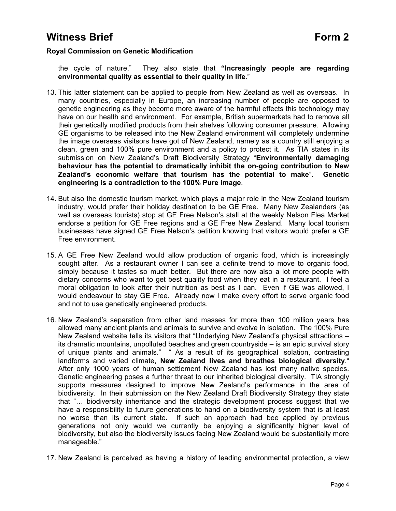the cycle of nature." They also state that **"Increasingly people are regarding environmental quality as essential to their quality in life**."

- 13. This latter statement can be applied to people from New Zealand as well as overseas. In many countries, especially in Europe, an increasing number of people are opposed to genetic engineering as they become more aware of the harmful effects this technology may have on our health and environment. For example, British supermarkets had to remove all their genetically modified products from their shelves following consumer pressure. Allowing GE organisms to be released into the New Zealand environment will completely undermine the image overseas visitsors have got of New Zealand, namely as a country still enjoying a clean, green and 100% pure environment and a policy to protect it. As TIA states in its submission on New Zealand's Draft Biodiversity Strategy "**Environmentally damaging behaviour has the potential to dramatically inhibit the on-going contribution to New Zealand's economic welfare that tourism has the potential to make**". **Genetic engineering is a contradiction to the 100% Pure image**.
- 14. But also the domestic tourism market, which plays a major role in the New Zealand tourism industry, would prefer their holiday destination to be GE Free. Many New Zealanders (as well as overseas tourists) stop at GE Free Nelson's stall at the weekly Nelson Flea Market endorse a petition for GE Free regions and a GE Free New Zealand. Many local tourism businesses have signed GE Free Nelson's petition knowing that visitors would prefer a GE Free environment.
- 15. A GE Free New Zealand would allow production of organic food, which is increasingly sought after. As a restaurant owner I can see a definite trend to move to organic food, simply because it tastes so much better. But there are now also a lot more people with dietary concerns who want to get best quality food when they eat in a restaurant. I feel a moral obligation to look after their nutrition as best as I can. Even if GE was allowed, I would endeavour to stay GE Free. Already now I make every effort to serve organic food and not to use genetically engineered products.
- 16. New Zealand's separation from other land masses for more than 100 million years has allowed many ancient plants and animals to survive and evolve in isolation. The 100% Pure New Zealand website tells its visitors that "Underlying New Zealand's physical attractions – its dramatic mountains, unpolluted beaches and green countryside – is an epic survival story of unique plants and animals." " As a result of its geographical isolation, contrasting landforms and varied climate, **New Zealand lives and breathes biological diversity**." After only 1000 years of human settlement New Zealand has lost many native species. Genetic engineering poses a further threat to our inherited biological diversity. TIA strongly supports measures designed to improve New Zealand's performance in the area of biodiversity. In their submission on the New Zealand Draft Biodiversity Strategy they state that "… biodiversity inheritance and the strategic development process suggest that we have a responsibility to future generations to hand on a biodiversity system that is at least no worse than its current state. If such an approach had bee applied by previous generations not only would we currently be enjoying a significantly higher level of biodiversity, but also the biodiversity issues facing New Zealand would be substantially more manageable."
- 17. New Zealand is perceived as having a history of leading environmental protection, a view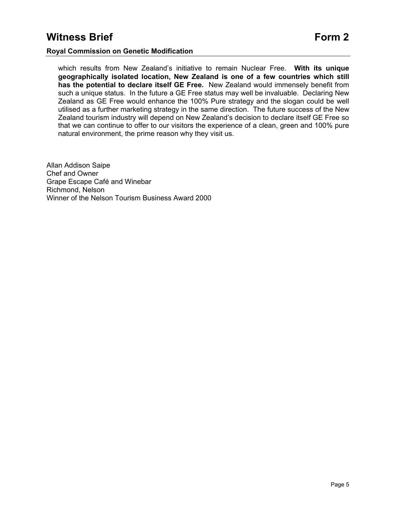which results from New Zealand's initiative to remain Nuclear Free. **With its unique geographically isolated location, New Zealand is one of a few countries which still has the potential to declare itself GE Free.** New Zealand would immensely benefit from such a unique status. In the future a GE Free status may well be invaluable. Declaring New Zealand as GE Free would enhance the 100% Pure strategy and the slogan could be well utilised as a further marketing strategy in the same direction. The future success of the New Zealand tourism industry will depend on New Zealand's decision to declare itself GE Free so that we can continue to offer to our visitors the experience of a clean, green and 100% pure natural environment, the prime reason why they visit us.

Allan Addison Saipe Chef and Owner Grape Escape Café and Winebar Richmond, Nelson Winner of the Nelson Tourism Business Award 2000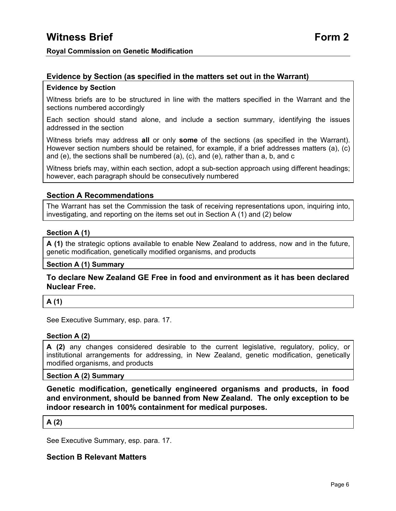# **Evidence by Section (as specified in the matters set out in the Warrant)**

# **Evidence by Section**

Witness briefs are to be structured in line with the matters specified in the Warrant and the sections numbered accordingly

Each section should stand alone, and include a section summary, identifying the issues addressed in the section

Witness briefs may address **all** or only **some** of the sections (as specified in the Warrant). However section numbers should be retained, for example, if a brief addresses matters (a), (c) and (e), the sections shall be numbered (a), (c), and (e), rather than a, b, and c

Witness briefs may, within each section, adopt a sub-section approach using different headings; however, each paragraph should be consecutively numbered

# **Section A Recommendations**

The Warrant has set the Commission the task of receiving representations upon, inquiring into, investigating, and reporting on the items set out in Section A (1) and (2) below

## **Section A (1)**

**A (1)** the strategic options available to enable New Zealand to address, now and in the future, genetic modification, genetically modified organisms, and products

**Section A (1) Summary**

# **To declare New Zealand GE Free in food and environment as it has been declared Nuclear Free.**

# **A (1)**

See Executive Summary, esp. para. 17.

## **Section A (2)**

**A (2)** any changes considered desirable to the current legislative, regulatory, policy, or institutional arrangements for addressing, in New Zealand, genetic modification, genetically modified organisms, and products

## **Section A (2) Summary**

**Genetic modification, genetically engineered organisms and products, in food and environment, should be banned from New Zealand. The only exception to be indoor research in 100% containment for medical purposes.** 

## **A (2)**

See Executive Summary, esp. para. 17.

# **Section B Relevant Matters**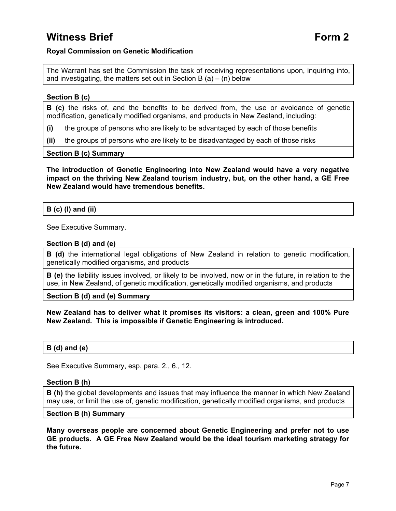The Warrant has set the Commission the task of receiving representations upon, inquiring into, and investigating, the matters set out in Section B  $(a) - (n)$  below

## **Section B (c)**

**B (c)** the risks of, and the benefits to be derived from, the use or avoidance of genetic modification, genetically modified organisms, and products in New Zealand, including:

- **(i)** the groups of persons who are likely to be advantaged by each of those benefits
- **(ii)** the groups of persons who are likely to be disadvantaged by each of those risks

#### **Section B (c) Summary**

**The introduction of Genetic Engineering into New Zealand would have a very negative impact on the thriving New Zealand tourism industry, but, on the other hand, a GE Free New Zealand would have tremendous benefits.** 

## **B (c) (I) and (ii)**

See Executive Summary.

#### **Section B (d) and (e)**

**B (d)** the international legal obligations of New Zealand in relation to genetic modification, genetically modified organisms, and products

**B (e)** the liability issues involved, or likely to be involved, now or in the future, in relation to the use, in New Zealand, of genetic modification, genetically modified organisms, and products

**Section B (d) and (e) Summary**

**New Zealand has to deliver what it promises its visitors: a clean, green and 100% Pure New Zealand. This is impossible if Genetic Engineering is introduced.** 

## **B (d) and (e)**

See Executive Summary, esp. para. 2., 6., 12.

#### **Section B (h)**

**B (h)** the global developments and issues that may influence the manner in which New Zealand may use, or limit the use of, genetic modification, genetically modified organisms, and products

#### **Section B (h) Summary**

**Many overseas people are concerned about Genetic Engineering and prefer not to use GE products. A GE Free New Zealand would be the ideal tourism marketing strategy for the future.**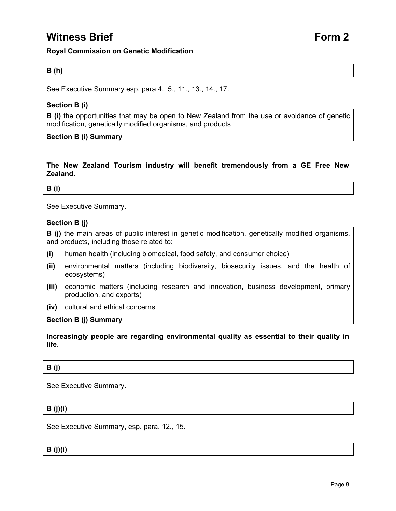# **Witness Brief Form 2**

## **Royal Commission on Genetic Modification**

## **B (h)**

See Executive Summary esp. para 4., 5., 11., 13., 14., 17.

## **Section B (i)**

**B (i)** the opportunities that may be open to New Zealand from the use or avoidance of genetic modification, genetically modified organisms, and products

**Section B (i) Summary**

## **The New Zealand Tourism industry will benefit tremendously from a GE Free New Zealand.**

#### **B (i)**

See Executive Summary.

## **Section B (j)**

**B (j)** the main areas of public interest in genetic modification, genetically modified organisms, and products, including those related to:

- **(i)** human health (including biomedical, food safety, and consumer choice)
- **(ii)** environmental matters (including biodiversity, biosecurity issues, and the health of ecosystems)
- **(iii)** economic matters (including research and innovation, business development, primary production, and exports)
- **(iv)** cultural and ethical concerns

#### **Section B (j) Summary**

## **Increasingly people are regarding environmental quality as essential to their quality in life**.

# **B (j)**

See Executive Summary.

# **B (j)(i)**

See Executive Summary, esp. para. 12., 15.

## **B (j)(i)**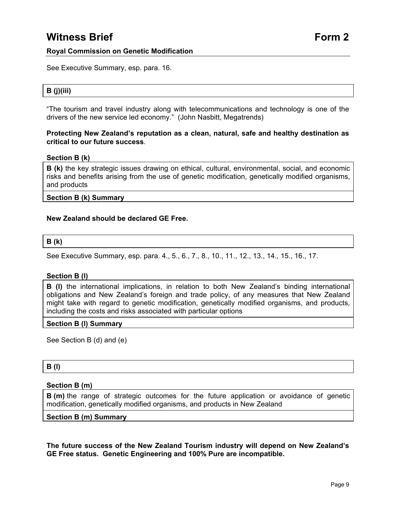See Executive Summary, esp. para. 16.

# **B (j)(iii)**

"The tourism and travel industry along with telecommunications and technology is one of the drivers of the new service led economy." (John Nasbitt, Megatrends)

## **Protecting New Zealand's reputation as a clean, natural, safe and healthy destination as critical to our future success**.

#### **Section B (k)**

**B** (k) the key strategic issues drawing on ethical, cultural, environmental, social, and economic risks and benefits arising from the use of genetic modification, genetically modified organisms, and products

#### **Section B (k) Summary**

#### **New Zealand should be declared GE Free.**

#### **B (k)**

See Executive Summary, esp. para. 4., 5., 6., 7., 8., 10., 11., 12., 13., 14., 15., 16., 17.

#### **Section B (l)**

**B (l)** the international implications, in relation to both New Zealand's binding international obligations and New Zealand's foreign and trade policy, of any measures that New Zealand might take with regard to genetic modification, genetically modified organisms, and products, including the costs and risks associated with particular options

#### **Section B (l) Summary**

See Section B (d) and (e)

## **B (l)**

#### **Section B (m)**

**B** (m) the range of strategic outcomes for the future application or avoidance of genetic modification, genetically modified organisms, and products in New Zealand

## **Section B (m) Summary**

**The future success of the New Zealand Tourism industry will depend on New Zealand's GE Free status. Genetic Engineering and 100% Pure are incompatible.**